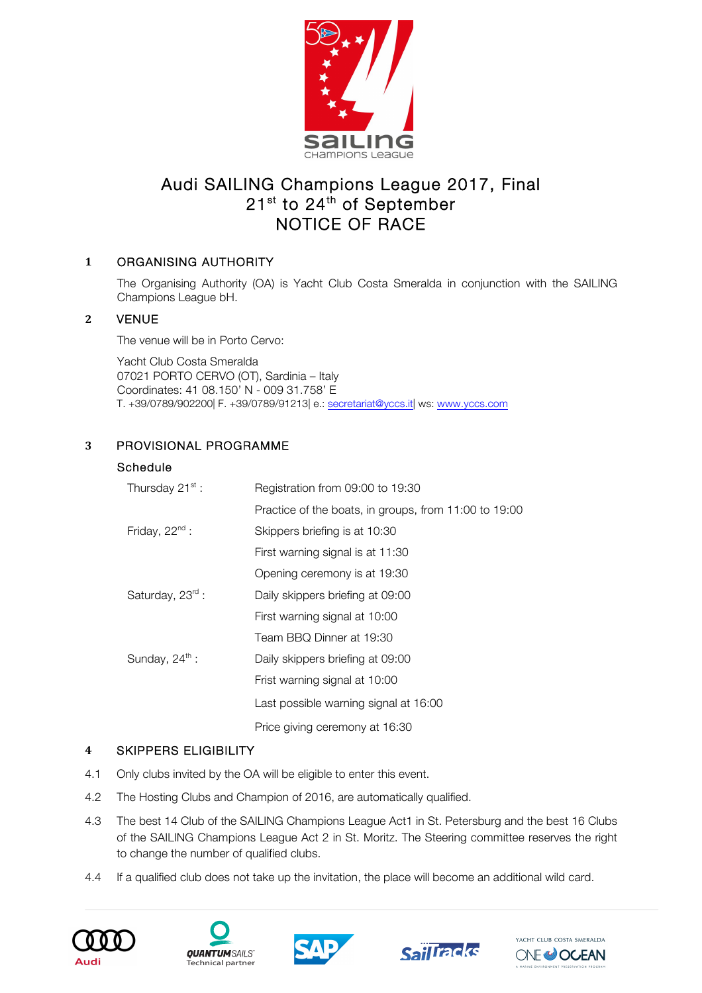

# Audi SAILING Champions League 2017, Final 21<sup>st</sup> to 24<sup>th</sup> of September NOTICE OF RACE

# **1** ORGANISING AUTHORITY

The Organising Authority (OA) is Yacht Club Costa Smeralda in conjunction with the SAILING Champions League bH.

# **2** VENUE

The venue will be in Porto Cervo:

Yacht Club Costa Smeralda 07021 PORTO CERVO (OT), Sardinia – Italy Coordinates: 41 08.150' N - 009 31.758' E T. +39/0789/902200| F. +39/0789/91213| e.: secretariat@yccs.it| ws: www.yccs.com

# **3** PROVISIONAL PROGRAMME

## Schedule

| Thursday 21 <sup>st</sup> : | Registration from 09:00 to 19:30                      |  |  |
|-----------------------------|-------------------------------------------------------|--|--|
|                             | Practice of the boats, in groups, from 11:00 to 19:00 |  |  |
| Friday, $22^{nd}$ :         | Skippers briefing is at 10:30                         |  |  |
|                             | First warning signal is at 11:30                      |  |  |
|                             | Opening ceremony is at 19:30                          |  |  |
| Saturday, 23rd :            | Daily skippers briefing at 09:00                      |  |  |
|                             | First warning signal at 10:00                         |  |  |
|                             | Team BBQ Dinner at 19:30                              |  |  |
| Sunday, $24^{\text{th}}$ :  | Daily skippers briefing at 09:00                      |  |  |
|                             | Frist warning signal at 10:00                         |  |  |
|                             | Last possible warning signal at 16:00                 |  |  |
|                             | Price giving ceremony at 16:30                        |  |  |

# **4** SKIPPERS ELIGIBILITY

- 4.1 Only clubs invited by the OA will be eligible to enter this event.
- 4.2 The Hosting Clubs and Champion of 2016, are automatically qualified.
- 4.3 The best 14 Club of the SAILING Champions League Act1 in St. Petersburg and the best 16 Clubs of the SAILING Champions League Act 2 in St. Moritz. The Steering committee reserves the right to change the number of qualified clubs.
- 4.4 If a qualified club does not take up the invitation, the place will become an additional wild card.









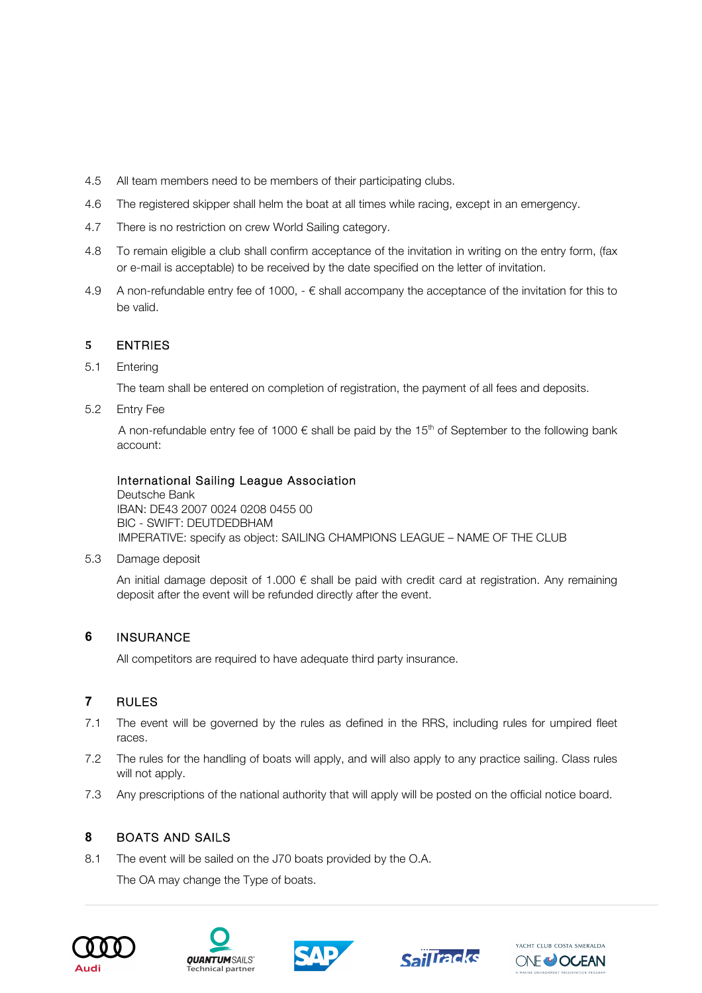- 4.5 All team members need to be members of their participating clubs.
- 4.6 The registered skipper shall helm the boat at all times while racing, except in an emergency.
- 4.7 There is no restriction on crew World Sailing category.
- 4.8 To remain eligible a club shall confirm acceptance of the invitation in writing on the entry form, (fax or e-mail is acceptable) to be received by the date specified on the letter of invitation.
- 4.9 A non-refundable entry fee of 1000,  $-\epsilon$  shall accompany the acceptance of the invitation for this to be valid.

## **5** ENTRIES

5.1 Entering

The team shall be entered on completion of registration, the payment of all fees and deposits.

5.2 Entry Fee

A non-refundable entry fee of 1000  $\epsilon$  shall be paid by the 15<sup>th</sup> of September to the following bank account:

## International Sailing League Association

Deutsche Bank IBAN: DE43 2007 0024 0208 0455 00 BIC - SWIFT: DEUTDEDBHAM IMPERATIVE: specify as object: SAILING CHAMPIONS LEAGUE – NAME OF THE CLUB

5.3 Damage deposit

An initial damage deposit of 1.000  $\epsilon$  shall be paid with credit card at registration. Any remaining deposit after the event will be refunded directly after the event.

# **6** INSURANCE

All competitors are required to have adequate third party insurance.

# **7** RULES

- 7.1 The event will be governed by the rules as defined in the RRS, including rules for umpired fleet races.
- 7.2 The rules for the handling of boats will apply, and will also apply to any practice sailing. Class rules will not apply.
- 7.3 Any prescriptions of the national authority that will apply will be posted on the official notice board.

## **8** BOATS AND SAILS

8.1 The event will be sailed on the J70 boats provided by the O.A.

The OA may change the Type of boats.









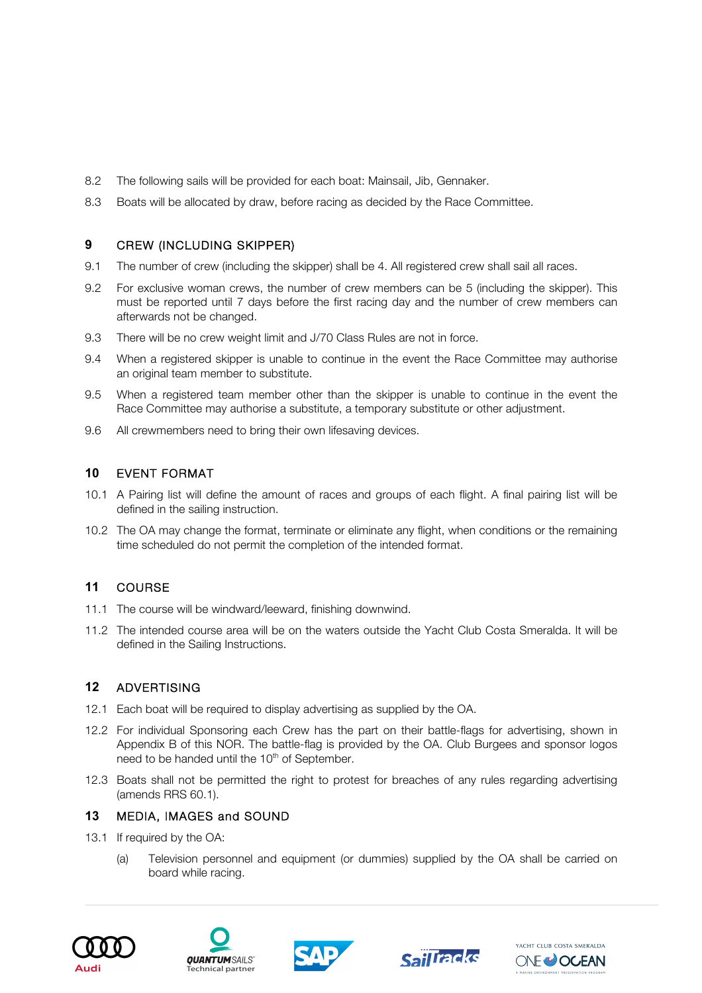- 8.2 The following sails will be provided for each boat: Mainsail, Jib, Gennaker.
- 8.3 Boats will be allocated by draw, before racing as decided by the Race Committee.

#### **9** CREW (INCLUDING SKIPPER)

- 9.1 The number of crew (including the skipper) shall be 4. All registered crew shall sail all races.
- 9.2 For exclusive woman crews, the number of crew members can be 5 (including the skipper). This must be reported until 7 days before the first racing day and the number of crew members can afterwards not be changed.
- 9.3 There will be no crew weight limit and J/70 Class Rules are not in force.
- 9.4 When a registered skipper is unable to continue in the event the Race Committee may authorise an original team member to substitute.
- 9.5 When a registered team member other than the skipper is unable to continue in the event the Race Committee may authorise a substitute, a temporary substitute or other adjustment.
- 9.6 All crewmembers need to bring their own lifesaving devices.

## **10** EVENT FORMAT

- 10.1 A Pairing list will define the amount of races and groups of each flight. A final pairing list will be defined in the sailing instruction.
- 10.2 The OA may change the format, terminate or eliminate any flight, when conditions or the remaining time scheduled do not permit the completion of the intended format.

# **11** COURSE

- 11.1 The course will be windward/leeward, finishing downwind.
- 11.2 The intended course area will be on the waters outside the Yacht Club Costa Smeralda. It will be defined in the Sailing Instructions.

## **12** ADVERTISING

- 12.1 Each boat will be required to display advertising as supplied by the OA.
- 12.2 For individual Sponsoring each Crew has the part on their battle-flags for advertising, shown in Appendix B of this NOR. The battle-flag is provided by the OA. Club Burgees and sponsor logos need to be handed until the  $10<sup>th</sup>$  of September.
- 12.3 Boats shall not be permitted the right to protest for breaches of any rules regarding advertising (amends RRS 60.1).

## **13** MEDIA, IMAGES and SOUND

- 13.1 If required by the OA:
	- (a) Television personnel and equipment (or dummies) supplied by the OA shall be carried on board while racing.









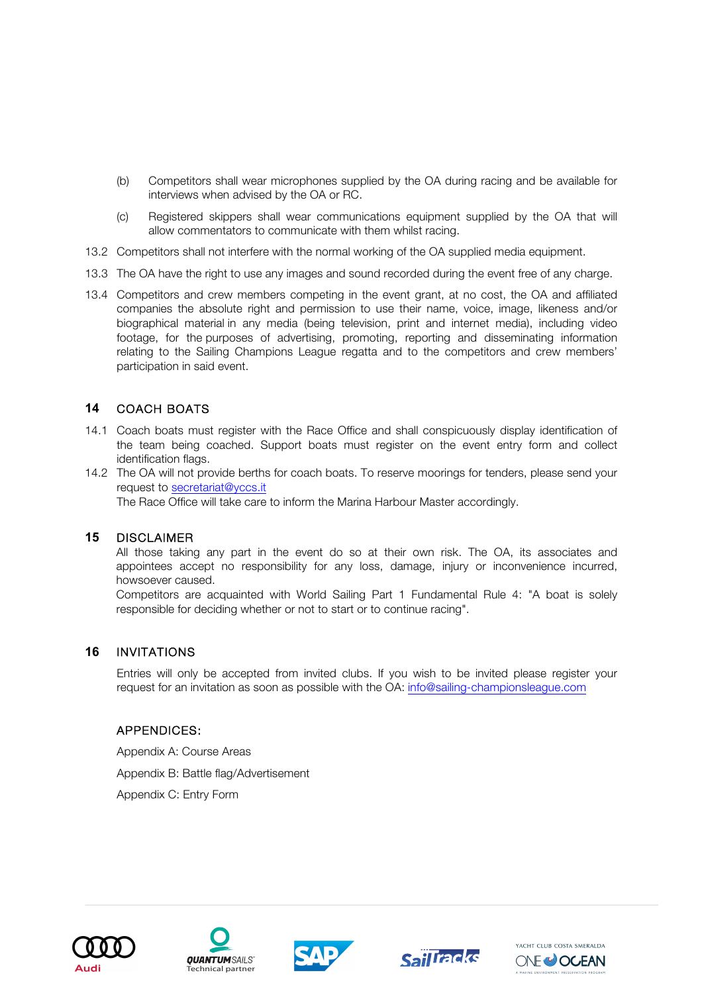- (b) Competitors shall wear microphones supplied by the OA during racing and be available for interviews when advised by the OA or RC.
- (c) Registered skippers shall wear communications equipment supplied by the OA that will allow commentators to communicate with them whilst racing.
- 13.2 Competitors shall not interfere with the normal working of the OA supplied media equipment.
- 13.3 The OA have the right to use any images and sound recorded during the event free of any charge.
- 13.4 Competitors and crew members competing in the event grant, at no cost, the OA and affiliated companies the absolute right and permission to use their name, voice, image, likeness and/or biographical material in any media (being television, print and internet media), including video footage, for the purposes of advertising, promoting, reporting and disseminating information relating to the Sailing Champions League regatta and to the competitors and crew members' participation in said event.

## **14** COACH BOATS

- 14.1 Coach boats must register with the Race Office and shall conspicuously display identification of the team being coached. Support boats must register on the event entry form and collect identification flags.
- 14.2 The OA will not provide berths for coach boats. To reserve moorings for tenders, please send your request to secretariat@yccs.it

The Race Office will take care to inform the Marina Harbour Master accordingly.

#### **15** DISCLAIMER

All those taking any part in the event do so at their own risk. The OA, its associates and appointees accept no responsibility for any loss, damage, injury or inconvenience incurred, howsoever caused.

Competitors are acquainted with World Sailing Part 1 Fundamental Rule 4: "A boat is solely responsible for deciding whether or not to start or to continue racing".

#### **16** INVITATIONS

Entries will only be accepted from invited clubs. If you wish to be invited please register your request for an invitation as soon as possible with the OA: info@sailing-championsleague.com

#### APPENDICES:

Appendix A: Course Areas Appendix B: Battle flag/Advertisement Appendix C: Entry Form









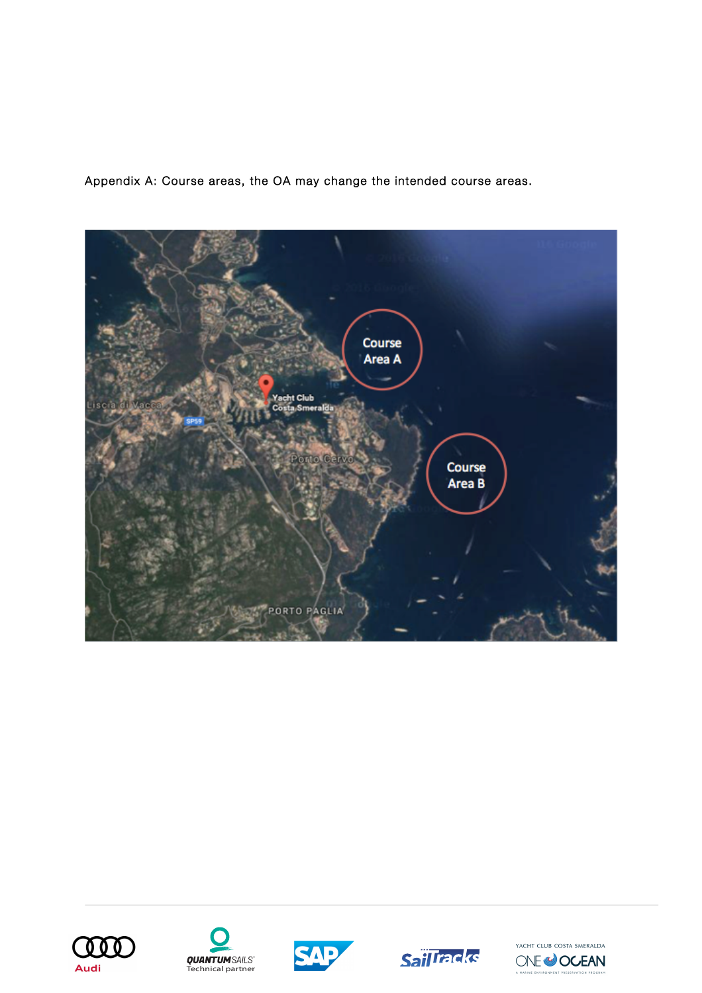Appendix A: Course areas, the OA may change the intended course areas.











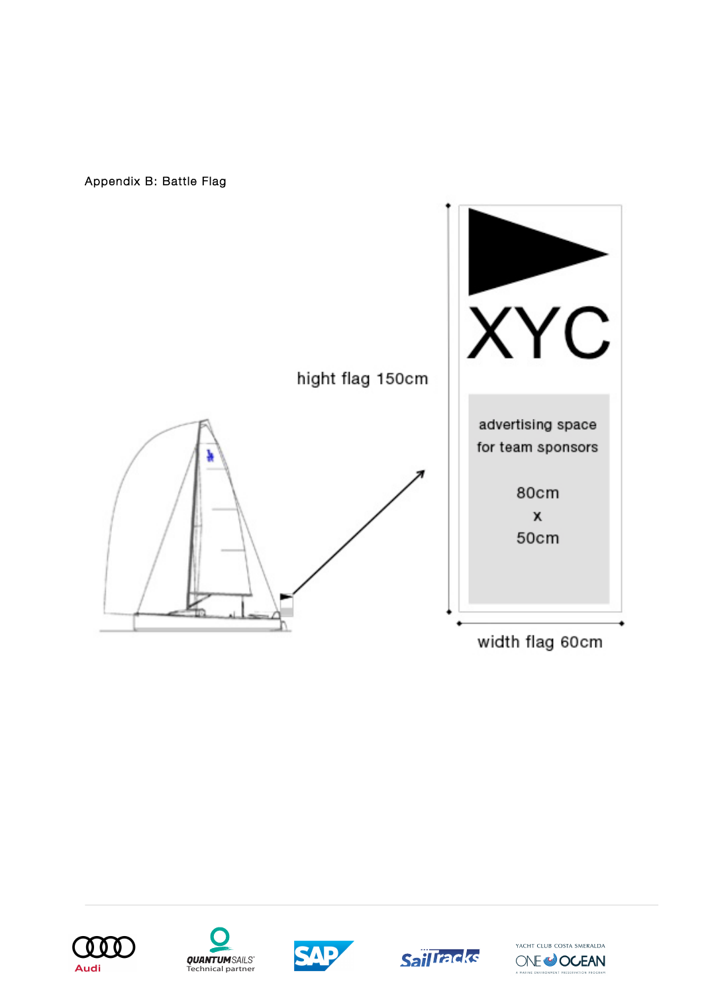Appendix B: Battle Flag